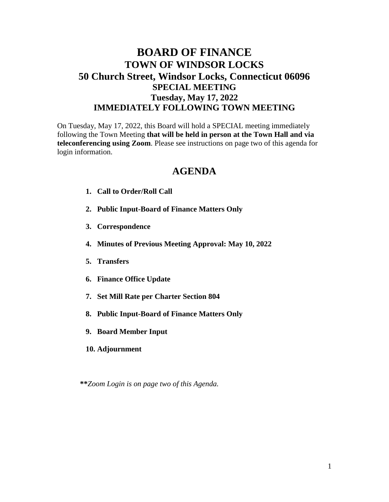## **BOARD OF FINANCE TOWN OF WINDSOR LOCKS 50 Church Street, Windsor Locks, Connecticut 06096 SPECIAL MEETING Tuesday, May 17, 2022 IMMEDIATELY FOLLOWING TOWN MEETING**

On Tuesday, May 17, 2022, this Board will hold a SPECIAL meeting immediately following the Town Meeting **that will be held in person at the Town Hall and via teleconferencing using Zoom**. Please see instructions on page two of this agenda for login information.

## **AGENDA**

- **1. Call to Order/Roll Call**
- **2. Public Input-Board of Finance Matters Only**
- **3. Correspondence**
- **4. Minutes of Previous Meeting Approval: May 10, 2022**
- **5. Transfers**
- **6. Finance Office Update**
- **7. Set Mill Rate per Charter Section 804**
- **8. Public Input-Board of Finance Matters Only**
- **9. Board Member Input**
- **10. Adjournment**

**\*\****Zoom Login is on page two of this Agenda.*